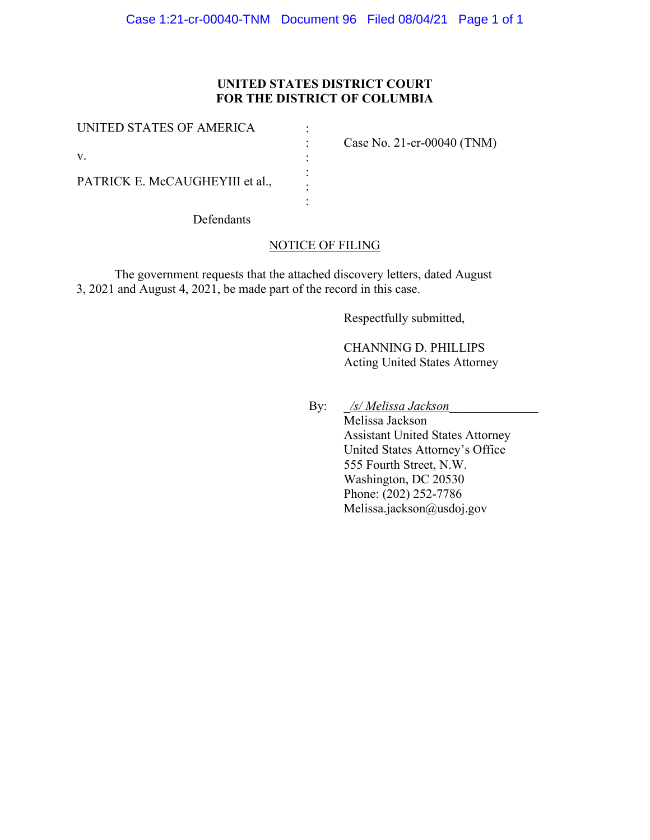# **UNITED STATES DISTRICT COURT FOR THE DISTRICT OF COLUMBIA**

| UNITED STATES OF AMERICA        | Case No. 21-cr-00040 $(TNM)$ |
|---------------------------------|------------------------------|
| V.                              |                              |
| PATRICK E. McCAUGHEYIII et al., |                              |

Defendants

## NOTICE OF FILING

The government requests that the attached discovery letters, dated August 3, 2021 and August 4, 2021, be made part of the record in this case.

Respectfully submitted,

CHANNING D. PHILLIPS Acting United States Attorney

By: \_*/s/ Melissa Jackson*\_\_\_\_\_\_\_\_\_\_\_\_\_\_

Melissa Jackson Assistant United States Attorney United States Attorney's Office 555 Fourth Street, N.W. Washington, DC 20530 Phone: (202) 252-7786 Melissa.jackson@usdoj.gov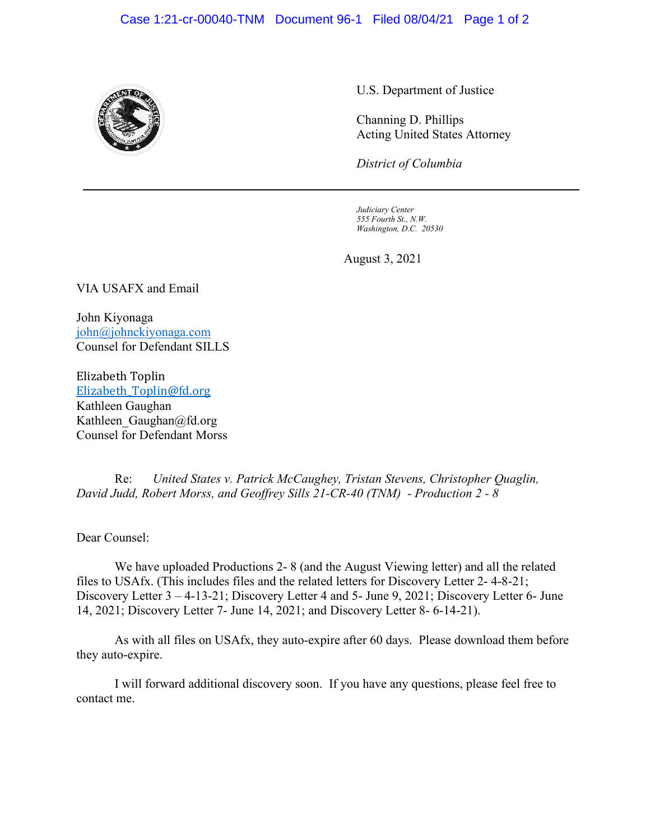### Case 1:21-cr-00040-TNM Document 96-1 Filed 08/04/21 Page 1 of 2



U.S. Department of Justice

Channing D. Phillips Acting United States Attorney

*District of Columbia*

*Judiciary Center 555 Fourth St., N.W. Washington, D.C. 20530*

August 3, 2021

VIA USAFX and Email

John Kiyonaga john@johnckiyonaga.com Counsel for Defendant SILLS

Elizabeth Toplin Elizabeth\_Toplin@fd.org Kathleen Gaughan Kathleen Gaughan@fd.org Counsel for Defendant Morss

Re: *United States v. Patrick McCaughey, Tristan Stevens, Christopher Quaglin, David Judd, Robert Morss, and Geoffrey Sills 21-CR-40 (TNM) - Production 2 - 8*

Dear Counsel:

We have uploaded Productions 2- 8 (and the August Viewing letter) and all the related files to USAfx. (This includes files and the related letters for Discovery Letter 2- 4-8-21; Discovery Letter 3 – 4-13-21; Discovery Letter 4 and 5- June 9, 2021; Discovery Letter 6- June 14, 2021; Discovery Letter 7- June 14, 2021; and Discovery Letter 8- 6-14-21).

As with all files on USAfx, they auto-expire after 60 days. Please download them before they auto-expire.

I will forward additional discovery soon. If you have any questions, please feel free to contact me.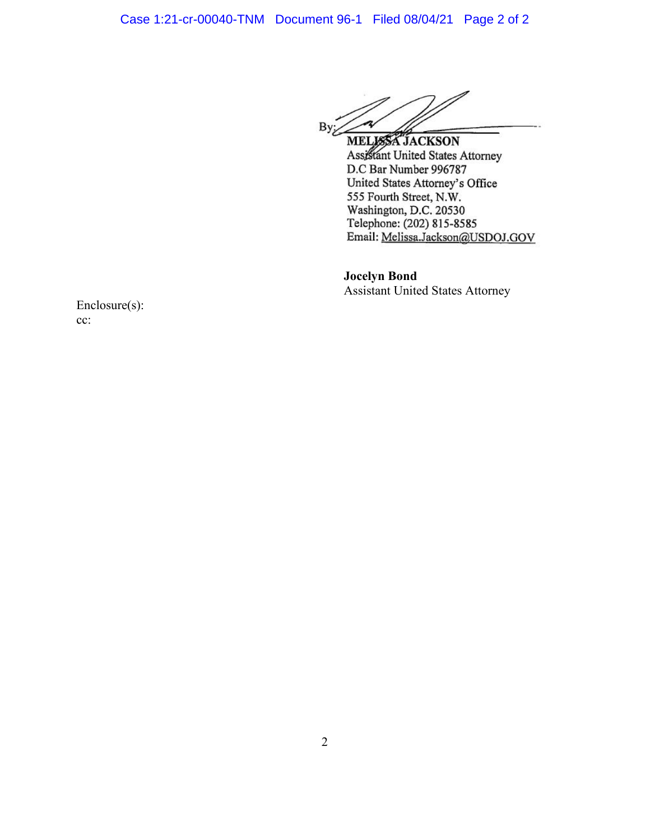n  $ByZ$ 

MELISSA JACKSON Assistant United States Attorney D.C Bar Number 996787 United States Attorney's Office 555 Fourth Street, N.W. Washington, D.C. 20530 Telephone: (202) 815-8585 Email: Melissa.Jackson@USDOJ.GOV

**Jocelyn Bond** Assistant United States Attorney

Enclosure(s): cc: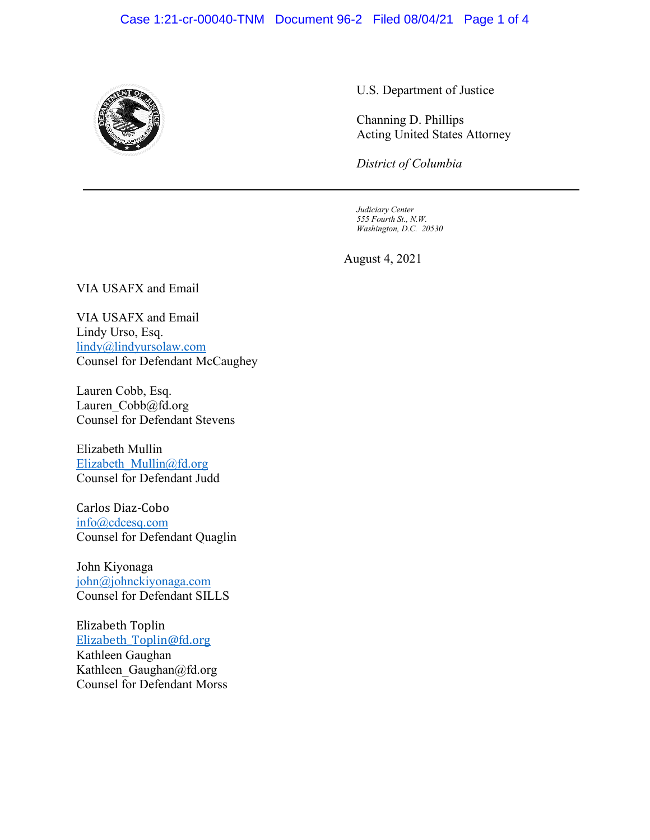## Case 1:21-cr-00040-TNM Document 96-2 Filed 08/04/21 Page 1 of 4



U.S. Department of Justice

Channing D. Phillips Acting United States Attorney

*District of Columbia*

*Judiciary Center 555 Fourth St., N.W. Washington, D.C. 20530*

August 4, 2021

VIA USAFX and Email

VIA USAFX and Email Lindy Urso, Esq. lindy@lindyursolaw.com Counsel for Defendant McCaughey

Lauren Cobb, Esq. Lauren\_Cobb@fd.org Counsel for Defendant Stevens

Elizabeth Mullin Elizabeth\_Mullin@fd.org Counsel for Defendant Judd

Carlos Diaz-Cobo info@cdcesq.com Counsel for Defendant Quaglin

John Kiyonaga john@johnckiyonaga.com Counsel for Defendant SILLS

Elizabeth Toplin Elizabeth\_Toplin@fd.org Kathleen Gaughan Kathleen\_Gaughan@fd.org Counsel for Defendant Morss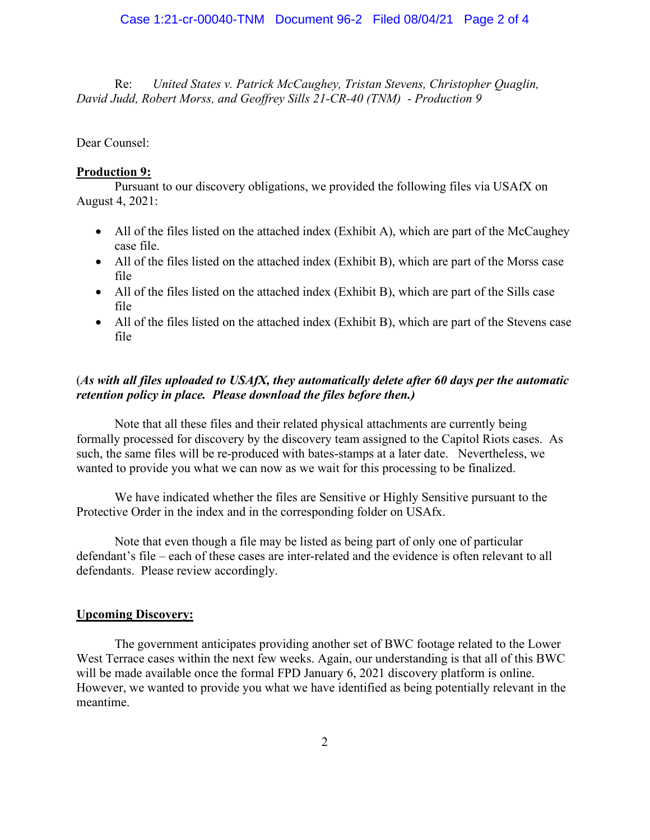Re: *United States v. Patrick McCaughey, Tristan Stevens, Christopher Quaglin, David Judd, Robert Morss, and Geoffrey Sills 21-CR-40 (TNM) - Production 9*

Dear Counsel:

#### **Production 9:**

Pursuant to our discovery obligations, we provided the following files via USAfX on August 4, 2021:

- All of the files listed on the attached index (Exhibit A), which are part of the McCaughey case file.
- All of the files listed on the attached index (Exhibit B), which are part of the Morss case file
- All of the files listed on the attached index (Exhibit B), which are part of the Sills case file
- All of the files listed on the attached index (Exhibit B), which are part of the Stevens case file

## (*As with all files uploaded to USAfX, they automatically delete after 60 days per the automatic retention policy in place. Please download the files before then.)*

Note that all these files and their related physical attachments are currently being formally processed for discovery by the discovery team assigned to the Capitol Riots cases. As such, the same files will be re-produced with bates-stamps at a later date. Nevertheless, we wanted to provide you what we can now as we wait for this processing to be finalized.

We have indicated whether the files are Sensitive or Highly Sensitive pursuant to the Protective Order in the index and in the corresponding folder on USAfx.

Note that even though a file may be listed as being part of only one of particular defendant's file – each of these cases are inter-related and the evidence is often relevant to all defendants. Please review accordingly.

#### **Upcoming Discovery:**

The government anticipates providing another set of BWC footage related to the Lower West Terrace cases within the next few weeks. Again, our understanding is that all of this BWC will be made available once the formal FPD January 6, 2021 discovery platform is online. However, we wanted to provide you what we have identified as being potentially relevant in the meantime.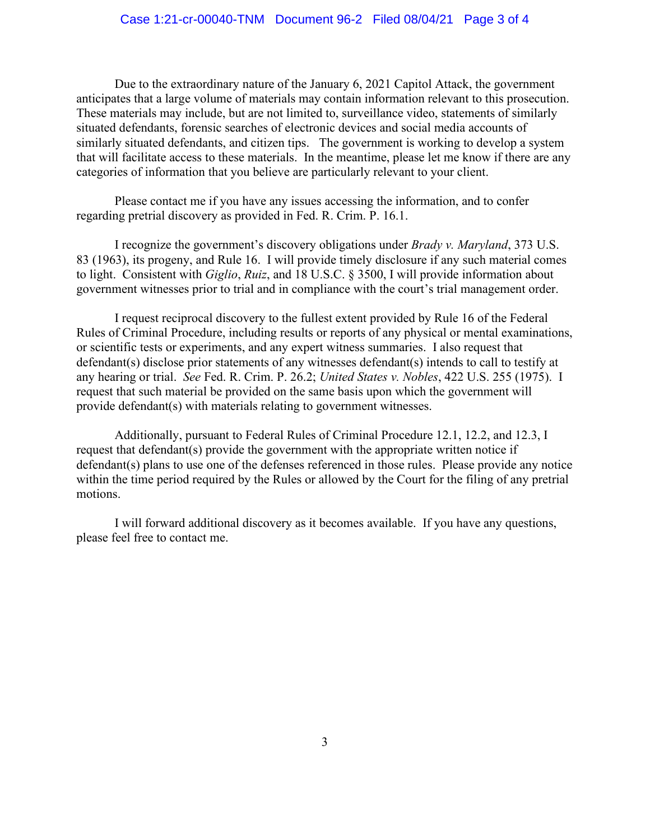Due to the extraordinary nature of the January 6, 2021 Capitol Attack, the government anticipates that a large volume of materials may contain information relevant to this prosecution. These materials may include, but are not limited to, surveillance video, statements of similarly situated defendants, forensic searches of electronic devices and social media accounts of similarly situated defendants, and citizen tips. The government is working to develop a system that will facilitate access to these materials. In the meantime, please let me know if there are any categories of information that you believe are particularly relevant to your client.

Please contact me if you have any issues accessing the information, and to confer regarding pretrial discovery as provided in Fed. R. Crim. P. 16.1.

I recognize the government's discovery obligations under *Brady v. Maryland*, 373 U.S. 83 (1963), its progeny, and Rule 16. I will provide timely disclosure if any such material comes to light. Consistent with *Giglio*, *Ruiz*, and 18 U.S.C. § 3500, I will provide information about government witnesses prior to trial and in compliance with the court's trial management order.

I request reciprocal discovery to the fullest extent provided by Rule 16 of the Federal Rules of Criminal Procedure, including results or reports of any physical or mental examinations, or scientific tests or experiments, and any expert witness summaries. I also request that defendant(s) disclose prior statements of any witnesses defendant(s) intends to call to testify at any hearing or trial. *See* Fed. R. Crim. P. 26.2; *United States v. Nobles*, 422 U.S. 255 (1975). I request that such material be provided on the same basis upon which the government will provide defendant(s) with materials relating to government witnesses.

Additionally, pursuant to Federal Rules of Criminal Procedure 12.1, 12.2, and 12.3, I request that defendant(s) provide the government with the appropriate written notice if defendant(s) plans to use one of the defenses referenced in those rules. Please provide any notice within the time period required by the Rules or allowed by the Court for the filing of any pretrial motions.

I will forward additional discovery as it becomes available. If you have any questions, please feel free to contact me.